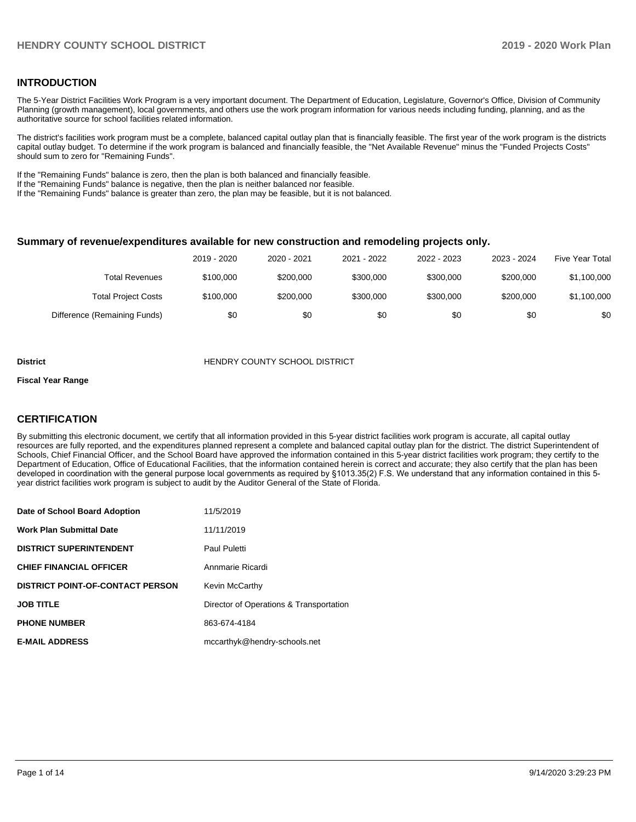#### **INTRODUCTION**

The 5-Year District Facilities Work Program is a very important document. The Department of Education, Legislature, Governor's Office, Division of Community Planning (growth management), local governments, and others use the work program information for various needs including funding, planning, and as the authoritative source for school facilities related information.

The district's facilities work program must be a complete, balanced capital outlay plan that is financially feasible. The first year of the work program is the districts capital outlay budget. To determine if the work program is balanced and financially feasible, the "Net Available Revenue" minus the "Funded Projects Costs" should sum to zero for "Remaining Funds".

If the "Remaining Funds" balance is zero, then the plan is both balanced and financially feasible.

If the "Remaining Funds" balance is negative, then the plan is neither balanced nor feasible.

If the "Remaining Funds" balance is greater than zero, the plan may be feasible, but it is not balanced.

#### **Summary of revenue/expenditures available for new construction and remodeling projects only.**

|                              | 2019 - 2020 | 2020 - 2021 | 2021 - 2022 | 2022 - 2023 | 2023 - 2024 | Five Year Total |
|------------------------------|-------------|-------------|-------------|-------------|-------------|-----------------|
| Total Revenues               | \$100,000   | \$200,000   | \$300,000   | \$300,000   | \$200,000   | \$1,100,000     |
| <b>Total Project Costs</b>   | \$100,000   | \$200,000   | \$300,000   | \$300.000   | \$200,000   | \$1,100,000     |
| Difference (Remaining Funds) | \$0         | \$0         | \$0         | \$0         | \$0         | \$0             |

#### **District COUNTY SCHOOL DISTRICT**

#### **Fiscal Year Range**

### **CERTIFICATION**

By submitting this electronic document, we certify that all information provided in this 5-year district facilities work program is accurate, all capital outlay resources are fully reported, and the expenditures planned represent a complete and balanced capital outlay plan for the district. The district Superintendent of Schools, Chief Financial Officer, and the School Board have approved the information contained in this 5-year district facilities work program; they certify to the Department of Education, Office of Educational Facilities, that the information contained herein is correct and accurate; they also certify that the plan has been developed in coordination with the general purpose local governments as required by §1013.35(2) F.S. We understand that any information contained in this 5 year district facilities work program is subject to audit by the Auditor General of the State of Florida.

| Date of School Board Adoption           | 11/5/2019                               |
|-----------------------------------------|-----------------------------------------|
| Work Plan Submittal Date                | 11/11/2019                              |
| <b>DISTRICT SUPERINTENDENT</b>          | Paul Puletti                            |
| <b>CHIEF FINANCIAL OFFICER</b>          | Annmarie Ricardi                        |
| <b>DISTRICT POINT-OF-CONTACT PERSON</b> | Kevin McCarthy                          |
| JOB TITLE                               | Director of Operations & Transportation |
| <b>PHONE NUMBER</b>                     | 863-674-4184                            |
| <b>E-MAIL ADDRESS</b>                   | mccarthyk@hendry-schools.net            |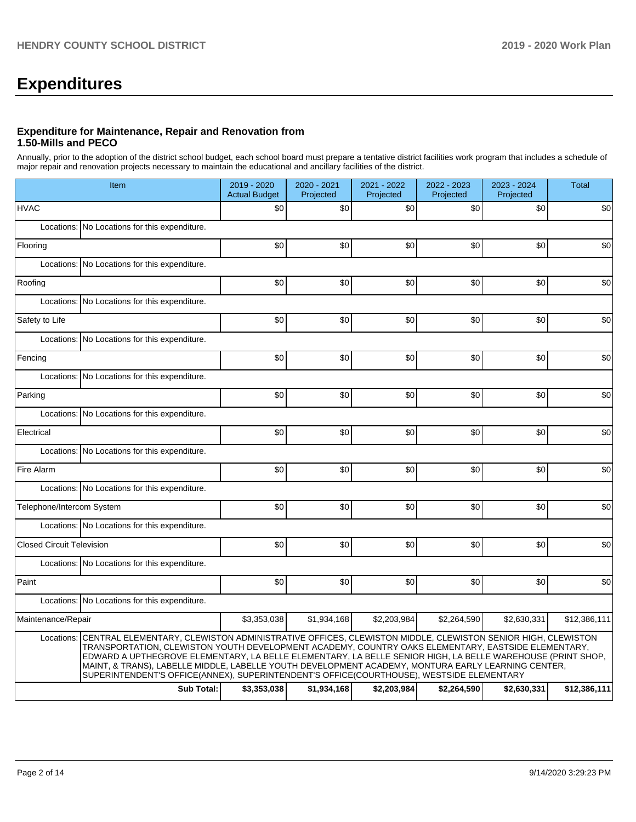# **Expenditures**

#### **Expenditure for Maintenance, Repair and Renovation from 1.50-Mills and PECO**

Annually, prior to the adoption of the district school budget, each school board must prepare a tentative district facilities work program that includes a schedule of major repair and renovation projects necessary to maintain the educational and ancillary facilities of the district.

|                                  | Item                                                                                                                                                                                                                                                                                                                                                                                                                                                                                                                                      | 2019 - 2020<br><b>Actual Budget</b> | 2020 - 2021<br>Projected | 2021 - 2022<br>Projected | 2022 - 2023<br>Projected | 2023 - 2024<br>Projected | <b>Total</b> |  |  |
|----------------------------------|-------------------------------------------------------------------------------------------------------------------------------------------------------------------------------------------------------------------------------------------------------------------------------------------------------------------------------------------------------------------------------------------------------------------------------------------------------------------------------------------------------------------------------------------|-------------------------------------|--------------------------|--------------------------|--------------------------|--------------------------|--------------|--|--|
| <b>HVAC</b>                      |                                                                                                                                                                                                                                                                                                                                                                                                                                                                                                                                           | \$0                                 | \$0                      | \$0                      | \$0                      | \$0                      | \$0          |  |  |
|                                  | Locations: No Locations for this expenditure.                                                                                                                                                                                                                                                                                                                                                                                                                                                                                             |                                     |                          |                          |                          |                          |              |  |  |
| Flooring                         |                                                                                                                                                                                                                                                                                                                                                                                                                                                                                                                                           | \$0                                 | \$0                      | \$0                      | \$0                      | \$0                      | \$0          |  |  |
|                                  | Locations: No Locations for this expenditure.                                                                                                                                                                                                                                                                                                                                                                                                                                                                                             |                                     |                          |                          |                          |                          |              |  |  |
| Roofing                          |                                                                                                                                                                                                                                                                                                                                                                                                                                                                                                                                           | \$0                                 | \$0                      | \$0                      | \$0                      | \$0                      | \$0          |  |  |
|                                  | Locations: No Locations for this expenditure.                                                                                                                                                                                                                                                                                                                                                                                                                                                                                             |                                     |                          |                          |                          |                          |              |  |  |
| Safety to Life                   |                                                                                                                                                                                                                                                                                                                                                                                                                                                                                                                                           | \$0                                 | \$0                      | \$0                      | \$0                      | \$0                      | \$0          |  |  |
| Locations:                       | No Locations for this expenditure.                                                                                                                                                                                                                                                                                                                                                                                                                                                                                                        |                                     |                          |                          |                          |                          |              |  |  |
| Fencing                          |                                                                                                                                                                                                                                                                                                                                                                                                                                                                                                                                           | \$0                                 | \$0                      | \$0                      | \$0                      | \$0                      | \$0          |  |  |
|                                  | Locations: No Locations for this expenditure.                                                                                                                                                                                                                                                                                                                                                                                                                                                                                             |                                     |                          |                          |                          |                          |              |  |  |
| Parking                          |                                                                                                                                                                                                                                                                                                                                                                                                                                                                                                                                           | \$0                                 | \$0                      | \$0                      | \$0                      | \$0                      | \$0          |  |  |
|                                  | Locations: No Locations for this expenditure.                                                                                                                                                                                                                                                                                                                                                                                                                                                                                             |                                     |                          |                          |                          |                          |              |  |  |
| Electrical                       |                                                                                                                                                                                                                                                                                                                                                                                                                                                                                                                                           | \$0                                 | \$0                      | \$0                      | \$0                      | \$0                      | \$0          |  |  |
|                                  | Locations: No Locations for this expenditure.                                                                                                                                                                                                                                                                                                                                                                                                                                                                                             |                                     |                          |                          |                          |                          |              |  |  |
| Fire Alarm                       |                                                                                                                                                                                                                                                                                                                                                                                                                                                                                                                                           | \$0                                 | \$0                      | \$0                      | \$0                      | \$0                      | \$0          |  |  |
|                                  | Locations: No Locations for this expenditure.                                                                                                                                                                                                                                                                                                                                                                                                                                                                                             |                                     |                          |                          |                          |                          |              |  |  |
| Telephone/Intercom System        |                                                                                                                                                                                                                                                                                                                                                                                                                                                                                                                                           | \$0                                 | \$0                      | \$0                      | \$0                      | \$0                      | \$0          |  |  |
|                                  | Locations: No Locations for this expenditure.                                                                                                                                                                                                                                                                                                                                                                                                                                                                                             |                                     |                          |                          |                          |                          |              |  |  |
| <b>Closed Circuit Television</b> |                                                                                                                                                                                                                                                                                                                                                                                                                                                                                                                                           | \$0                                 | \$0                      | \$0                      | \$0                      | \$0                      | \$0          |  |  |
|                                  | Locations: No Locations for this expenditure.                                                                                                                                                                                                                                                                                                                                                                                                                                                                                             |                                     |                          |                          |                          |                          |              |  |  |
| Paint                            |                                                                                                                                                                                                                                                                                                                                                                                                                                                                                                                                           | \$0                                 | \$0                      | \$0                      | \$0                      | \$0                      | \$0          |  |  |
|                                  | Locations: No Locations for this expenditure.                                                                                                                                                                                                                                                                                                                                                                                                                                                                                             |                                     |                          |                          |                          |                          |              |  |  |
| Maintenance/Repair               |                                                                                                                                                                                                                                                                                                                                                                                                                                                                                                                                           | \$3,353,038                         | \$1,934,168              | \$2,203,984              | \$2,264,590              | \$2,630,331              | \$12,386,111 |  |  |
|                                  | Locations: CENTRAL ELEMENTARY, CLEWISTON ADMINISTRATIVE OFFICES, CLEWISTON MIDDLE, CLEWISTON SENIOR HIGH, CLEWISTON<br>TRANSPORTATION, CLEWISTON YOUTH DEVELOPMENT ACADEMY, COUNTRY OAKS ELEMENTARY, EASTSIDE ELEMENTARY,<br>EDWARD A UPTHEGROVE ELEMENTARY, LA BELLE ELEMENTARY, LA BELLE SENIOR HIGH, LA BELLE WAREHOUSE (PRINT SHOP,<br>MAINT, & TRANS), LABELLE MIDDLE, LABELLE YOUTH DEVELOPMENT ACADEMY, MONTURA EARLY LEARNING CENTER,<br>SUPERINTENDENT'S OFFICE(ANNEX), SUPERINTENDENT'S OFFICE(COURTHOUSE), WESTSIDE ELEMENTARY |                                     |                          |                          |                          |                          |              |  |  |
|                                  | <b>Sub Total:</b>                                                                                                                                                                                                                                                                                                                                                                                                                                                                                                                         | \$3,353,038                         | \$1,934,168              | \$2,203,984              | \$2,264,590              | \$2,630,331              | \$12,386,111 |  |  |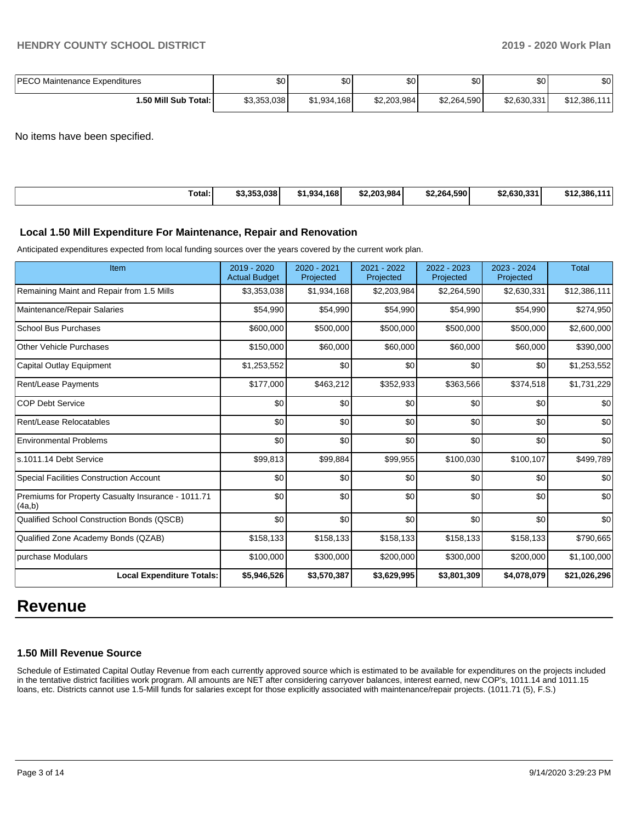| <b>PECO Maintenance Expenditures</b> | \$0         | ሶስ<br>Ψ∪    | \$0         | \$0         | \$0 <sub>1</sub> | \$0          |
|--------------------------------------|-------------|-------------|-------------|-------------|------------------|--------------|
| 1.50 Mill Sub Total: I               | \$3,353,038 | \$1,934,168 | \$2,203,984 | \$2,264,590 | \$2.630.331      | \$12,386,111 |

No items have been specified.

| Total: | 63 353 U38  <br>აა.ააა.საი | 1.934.168 | \$2,203,984 | \$2.264.590 | \$2,630,331 | \$12.386.1<br><b>AAA</b> |
|--------|----------------------------|-----------|-------------|-------------|-------------|--------------------------|
|        |                            |           |             |             |             |                          |

#### **Local 1.50 Mill Expenditure For Maintenance, Repair and Renovation**

Anticipated expenditures expected from local funding sources over the years covered by the current work plan.

| Item                                                         | 2019 - 2020<br><b>Actual Budget</b> | 2020 - 2021<br>Projected | 2021 - 2022<br>Projected | 2022 - 2023<br>Projected | 2023 - 2024<br>Projected | <b>Total</b> |
|--------------------------------------------------------------|-------------------------------------|--------------------------|--------------------------|--------------------------|--------------------------|--------------|
| Remaining Maint and Repair from 1.5 Mills                    | \$3,353,038                         | \$1,934,168              | \$2,203,984              | \$2,264,590              | \$2,630,331              | \$12,386,111 |
| Maintenance/Repair Salaries                                  | \$54,990                            | \$54,990                 | \$54,990                 | \$54,990                 | \$54,990                 | \$274,950    |
| <b>School Bus Purchases</b>                                  | \$600,000                           | \$500,000                | \$500,000                | \$500,000                | \$500,000                | \$2,600,000  |
| <b>Other Vehicle Purchases</b>                               | \$150,000                           | \$60,000                 | \$60,000                 | \$60,000                 | \$60,000                 | \$390,000    |
| Capital Outlay Equipment                                     | \$1,253,552                         | \$0                      | \$0                      | \$0                      | \$0                      | \$1,253,552  |
| Rent/Lease Payments                                          | \$177,000                           | \$463,212                | \$352,933                | \$363,566                | \$374,518                | \$1,731,229  |
| <b>COP Debt Service</b>                                      | \$0                                 | \$0                      | \$0                      | \$0                      | \$0                      | \$0          |
| Rent/Lease Relocatables                                      | \$0                                 | \$0                      | \$0                      | \$0                      | \$0                      | \$0          |
| <b>Environmental Problems</b>                                | \$0                                 | \$0                      | \$0                      | \$0                      | \$0                      | \$0          |
| ls.1011.14 Debt Service                                      | \$99,813                            | \$99,884                 | \$99,955                 | \$100,030                | \$100,107                | \$499,789    |
| <b>Special Facilities Construction Account</b>               | \$0                                 | \$0                      | \$0                      | \$0                      | \$0                      | \$0          |
| Premiums for Property Casualty Insurance - 1011.71<br>(4a,b) | \$0                                 | \$0                      | \$0                      | \$0                      | \$0                      | \$0          |
| Qualified School Construction Bonds (QSCB)                   | \$0                                 | \$0                      | \$0                      | \$0                      | \$0                      | \$0          |
| Qualified Zone Academy Bonds (QZAB)                          | \$158,133                           | \$158,133                | \$158,133                | \$158,133                | \$158,133                | \$790,665    |
| purchase Modulars                                            | \$100,000                           | \$300,000                | \$200,000                | \$300,000                | \$200,000                | \$1,100,000  |
| <b>Local Expenditure Totals:</b>                             | \$5,946,526                         | \$3,570,387              | \$3,629,995              | \$3,801,309              | \$4,078,079              | \$21,026,296 |

# **Revenue**

### **1.50 Mill Revenue Source**

Schedule of Estimated Capital Outlay Revenue from each currently approved source which is estimated to be available for expenditures on the projects included in the tentative district facilities work program. All amounts are NET after considering carryover balances, interest earned, new COP's, 1011.14 and 1011.15 loans, etc. Districts cannot use 1.5-Mill funds for salaries except for those explicitly associated with maintenance/repair projects. (1011.71 (5), F.S.)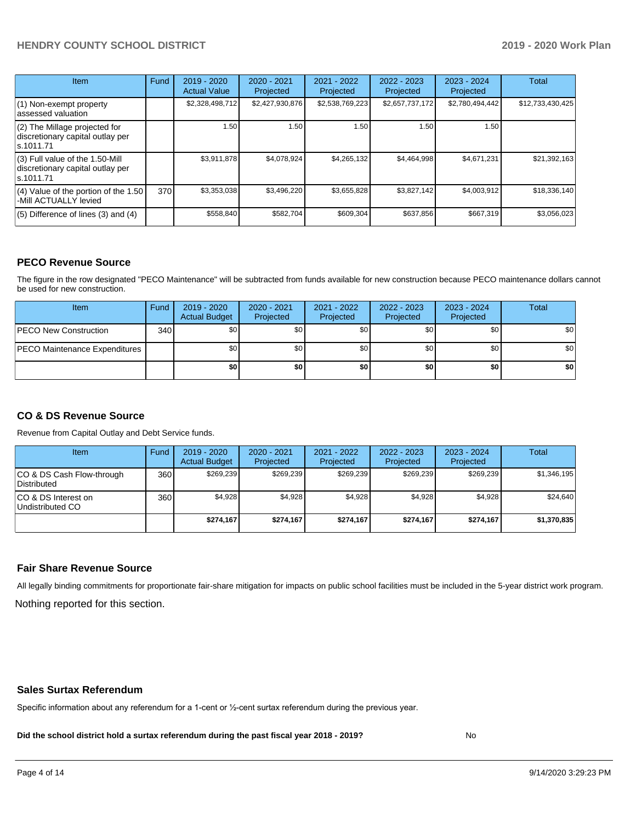# **HENDRY COUNTY SCHOOL DISTRICT 2019 - 2020 Work Plan**

| <b>Item</b>                                                                       | Fund | $2019 - 2020$<br><b>Actual Value</b> | $2020 - 2021$<br>Projected | 2021 - 2022<br>Projected | 2022 - 2023<br>Projected | $2023 - 2024$<br>Projected | <b>Total</b>     |
|-----------------------------------------------------------------------------------|------|--------------------------------------|----------------------------|--------------------------|--------------------------|----------------------------|------------------|
| $(1)$ Non-exempt property<br>lassessed valuation                                  |      | \$2,328,498,712                      | \$2,427,930,876            | \$2,538,769,223          | \$2,657,737,172          | \$2,780,494,442            | \$12,733,430,425 |
| $(2)$ The Millage projected for<br>discretionary capital outlay per<br>ls.1011.71 |      | 1.50                                 | 1.50                       | 1.50                     | 1.50                     | 1.50                       |                  |
| (3) Full value of the 1.50-Mill<br>discretionary capital outlay per<br>ls.1011.71 |      | \$3,911,878                          | \$4,078,924                | \$4,265,132              | \$4,464,998              | \$4,671,231                | \$21,392,163     |
| (4) Value of the portion of the 1.50<br>-Mill ACTUALLY levied                     | 370I | \$3,353,038                          | \$3,496,220                | \$3,655,828              | \$3,827,142              | \$4,003,912                | \$18,336,140     |
| $(5)$ Difference of lines $(3)$ and $(4)$                                         |      | \$558,840                            | \$582,704                  | \$609,304                | \$637,856                | \$667,319                  | \$3,056,023      |

#### **PECO Revenue Source**

The figure in the row designated "PECO Maintenance" will be subtracted from funds available for new construction because PECO maintenance dollars cannot be used for new construction.

| Item                                 | Fund | 2019 - 2020<br><b>Actual Budget</b> | 2020 - 2021<br>Projected | 2021 - 2022<br>Projected | $2022 - 2023$<br>Projected | 2023 - 2024<br>Projected | Total            |
|--------------------------------------|------|-------------------------------------|--------------------------|--------------------------|----------------------------|--------------------------|------------------|
| <b>PECO New Construction</b>         | 340  | \$0                                 | \$0 <sub>1</sub>         | \$0                      | \$0 <sub>0</sub>           | \$0 <sub>1</sub>         | \$0 <sub>1</sub> |
| <b>PECO Maintenance Expenditures</b> |      | ا 30                                | \$٥Ι                     | \$0                      | \$0 <sub>1</sub>           | \$0                      | \$0              |
|                                      |      | \$0                                 | \$0                      | \$0                      | \$0                        | \$0                      | \$0              |

### **CO & DS Revenue Source**

Revenue from Capital Outlay and Debt Service funds.

| Item                                      | Fund | 2019 - 2020<br><b>Actual Budget</b> | 2020 - 2021<br>Projected | 2021 - 2022<br>Projected | 2022 - 2023<br>Projected | $2023 - 2024$<br>Projected | Total       |
|-------------------------------------------|------|-------------------------------------|--------------------------|--------------------------|--------------------------|----------------------------|-------------|
| ICO & DS Cash Flow-through<br>Distributed | 360  | \$269.239                           | \$269.239                | \$269.239                | \$269.239                | \$269,239                  | \$1,346,195 |
| ICO & DS Interest on<br>Undistributed CO  | 360  | \$4.928                             | \$4,928                  | \$4,928                  | \$4.928                  | \$4,928                    | \$24,640    |
|                                           |      | \$274.167                           | \$274.167                | \$274.167                | \$274.167                | \$274.167                  | \$1,370,835 |

#### **Fair Share Revenue Source**

Nothing reported for this section. All legally binding commitments for proportionate fair-share mitigation for impacts on public school facilities must be included in the 5-year district work program.

#### **Sales Surtax Referendum**

Specific information about any referendum for a 1-cent or ½-cent surtax referendum during the previous year.

**Did the school district hold a surtax referendum during the past fiscal year 2018 - 2019?**

No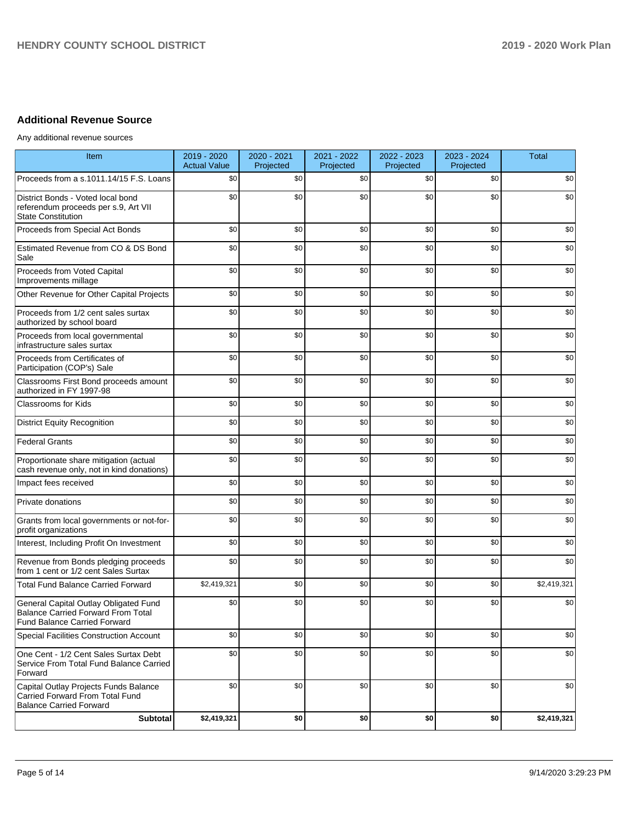# **Additional Revenue Source**

Any additional revenue sources

| Item                                                                                                               | 2019 - 2020<br><b>Actual Value</b> | 2020 - 2021<br>Projected | 2021 - 2022<br>Projected | 2022 - 2023<br>Projected | 2023 - 2024<br>Projected | <b>Total</b> |
|--------------------------------------------------------------------------------------------------------------------|------------------------------------|--------------------------|--------------------------|--------------------------|--------------------------|--------------|
| Proceeds from a s.1011.14/15 F.S. Loans                                                                            | \$0                                | \$0                      | \$0                      | \$0                      | \$0                      | \$0          |
| District Bonds - Voted local bond<br>referendum proceeds per s.9, Art VII<br><b>State Constitution</b>             | \$0                                | \$0                      | \$0                      | \$0                      | \$0                      | \$0          |
| Proceeds from Special Act Bonds                                                                                    | \$0                                | \$0                      | \$0                      | \$0                      | \$0                      | \$0          |
| Estimated Revenue from CO & DS Bond<br>Sale                                                                        | \$0                                | \$0                      | \$0                      | \$0                      | \$0                      | \$0          |
| Proceeds from Voted Capital<br>Improvements millage                                                                | \$0                                | \$0                      | \$0                      | \$0                      | \$0                      | \$0          |
| Other Revenue for Other Capital Projects                                                                           | \$0                                | \$0                      | \$0                      | \$0                      | \$0                      | \$0          |
| Proceeds from 1/2 cent sales surtax<br>authorized by school board                                                  | \$0                                | \$0                      | \$0                      | \$0                      | \$0                      | \$0          |
| Proceeds from local governmental<br>infrastructure sales surtax                                                    | \$0                                | \$0                      | \$0                      | \$0                      | \$0                      | \$0          |
| Proceeds from Certificates of<br>Participation (COP's) Sale                                                        | \$0                                | \$0                      | \$0                      | \$0                      | \$0                      | \$0          |
| Classrooms First Bond proceeds amount<br>authorized in FY 1997-98                                                  | \$0                                | \$0                      | \$0                      | \$0                      | \$0                      | \$0          |
| <b>Classrooms for Kids</b>                                                                                         | \$0                                | \$0                      | \$0                      | \$0                      | \$0                      | \$0          |
| <b>District Equity Recognition</b>                                                                                 | \$0                                | \$0                      | \$0                      | \$0                      | \$0                      | \$0          |
| <b>Federal Grants</b>                                                                                              | \$0                                | \$0                      | \$0                      | \$0                      | \$0                      | \$0          |
| Proportionate share mitigation (actual<br>cash revenue only, not in kind donations)                                | \$0                                | \$0                      | \$0                      | \$0                      | \$0                      | \$0          |
| Impact fees received                                                                                               | \$0                                | \$0                      | \$0                      | \$0                      | \$0                      | \$0          |
| Private donations                                                                                                  | \$0                                | \$0                      | \$0                      | \$0                      | \$0                      | \$0          |
| Grants from local governments or not-for-<br>profit organizations                                                  | \$0                                | \$0                      | \$0                      | \$0                      | \$0                      | \$0          |
| Interest, Including Profit On Investment                                                                           | \$0                                | \$0                      | \$0                      | \$0                      | \$0                      | \$0          |
| Revenue from Bonds pledging proceeds<br>from 1 cent or 1/2 cent Sales Surtax                                       | \$0                                | \$0                      | \$0                      | \$0                      | \$0                      | \$0          |
| <b>Total Fund Balance Carried Forward</b>                                                                          | \$2,419,321                        | \$0                      | \$0                      | \$0                      | \$0                      | \$2,419,321  |
| General Capital Outlay Obligated Fund<br><b>Balance Carried Forward From Total</b><br>Fund Balance Carried Forward | \$0                                | \$0                      | \$0                      | \$0                      | \$0                      | \$0          |
| <b>Special Facilities Construction Account</b>                                                                     | \$0                                | \$0                      | \$0                      | \$0                      | \$0                      | \$0          |
| One Cent - 1/2 Cent Sales Surtax Debt<br>Service From Total Fund Balance Carried<br>Forward                        | \$0                                | \$0                      | \$0                      | \$0                      | \$0                      | \$0          |
| Capital Outlay Projects Funds Balance<br>Carried Forward From Total Fund<br><b>Balance Carried Forward</b>         | \$0                                | \$0                      | \$0                      | \$0                      | \$0                      | \$0          |
| Subtotal                                                                                                           | \$2,419,321                        | \$0                      | \$0                      | \$0                      | \$0                      | \$2,419,321  |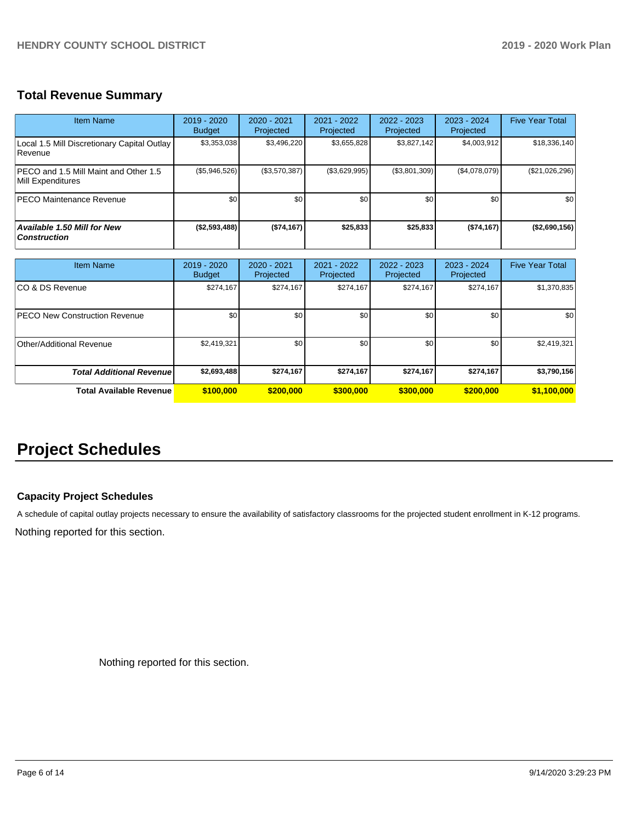# **Total Revenue Summary**

| <b>Item Name</b>                                           | 2019 - 2020<br><b>Budget</b> | $2020 - 2021$<br>Projected | 2021 - 2022<br>Projected | 2022 - 2023<br>Projected | $2023 - 2024$<br>Projected | <b>Five Year Total</b> |
|------------------------------------------------------------|------------------------------|----------------------------|--------------------------|--------------------------|----------------------------|------------------------|
| Local 1.5 Mill Discretionary Capital Outlay<br>Revenue     | \$3,353,038                  | \$3,496,220                | \$3,655,828              | \$3,827,142              | \$4,003,912                | \$18,336,140           |
| PECO and 1.5 Mill Maint and Other 1.5<br>Mill Expenditures | $(\$5,946,526)$              | (\$3,570,387)              | (\$3,629,995)            | (\$3,801,309)            | (\$4,078,079)              | (\$21,026,296)         |
| PECO Maintenance Revenue                                   | \$0                          | \$0 <sub>1</sub>           | \$0                      | \$0 <sub>1</sub>         | \$0 <sub>1</sub>           | \$0                    |
| Available 1.50 Mill for New<br><b>Construction</b>         | (\$2,593,488)                | ( \$74, 167]               | \$25,833                 | \$25,833                 | (\$74,167)                 | (\$2,690,156)          |

| <b>Item Name</b>                      | 2019 - 2020<br><b>Budget</b> | $2020 - 2021$<br>Projected | 2021 - 2022<br>Projected | 2022 - 2023<br>Projected | 2023 - 2024<br>Projected | <b>Five Year Total</b> |
|---------------------------------------|------------------------------|----------------------------|--------------------------|--------------------------|--------------------------|------------------------|
| ICO & DS Revenue                      | \$274,167                    | \$274,167                  | \$274,167                | \$274,167                | \$274.167                | \$1,370,835            |
| <b>IPECO New Construction Revenue</b> | \$0                          | \$0                        | \$0                      | \$0                      | \$0                      | \$0                    |
| Other/Additional Revenue              | \$2,419,321                  | \$0                        | \$0                      | \$0                      | \$0                      | \$2,419,321            |
| <b>Total Additional Revenuel</b>      | \$2,693,488                  | \$274,167                  | \$274,167                | \$274,167                | \$274,167                | \$3,790,156            |
| <b>Total Available Revenue</b>        | \$100,000                    | \$200,000                  | \$300,000                | \$300,000                | \$200,000                | \$1,100,000            |

# **Project Schedules**

## **Capacity Project Schedules**

A schedule of capital outlay projects necessary to ensure the availability of satisfactory classrooms for the projected student enrollment in K-12 programs.

Nothing reported for this section.

Nothing reported for this section.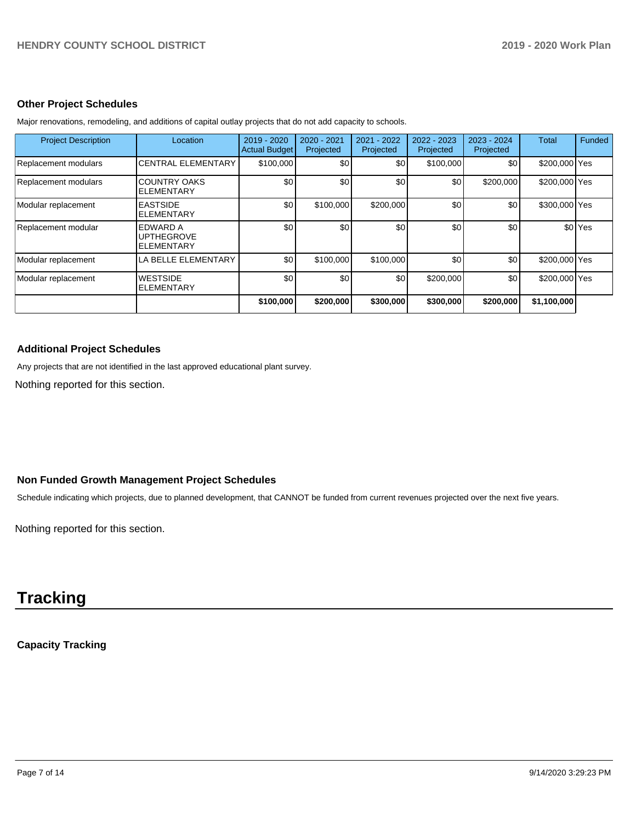#### **Other Project Schedules**

| <b>Project Description</b> | Location                                    | 2019 - 2020<br><b>Actual Budget</b> | 2020 - 2021<br>Projected | 2021 - 2022<br>Projected | 2022 - 2023<br>Projected | 2023 - 2024<br>Projected | Total         | Funded             |
|----------------------------|---------------------------------------------|-------------------------------------|--------------------------|--------------------------|--------------------------|--------------------------|---------------|--------------------|
| Replacement modulars       | <b>CENTRAL ELEMENTARY</b>                   | \$100,000                           | \$0                      | \$0                      | \$100,000                | \$0 <sub>1</sub>         | \$200,000 Yes |                    |
| Replacement modulars       | <b>COUNTRY OAKS</b><br><b>ELEMENTARY</b>    | \$0                                 | \$0                      | \$0                      | \$0                      | \$200,000                | \$200,000 Yes |                    |
| Modular replacement        | <b>EASTSIDE</b><br>ELEMENTARY               | \$0                                 | \$100,000                | \$200,000                | \$0                      | \$0 <sub>1</sub>         | \$300,000 Yes |                    |
| Replacement modular        | EDWARD A<br><b>UPTHEGROVE</b><br>ELEMENTARY | \$0                                 | \$0                      | \$0                      | \$0                      | \$0                      |               | \$0 <sup>Yes</sup> |
| Modular replacement        | LA BELLE ELEMENTARY                         | \$0                                 | \$100,000                | \$100,000                | \$0                      | \$0                      | \$200,000 Yes |                    |
| Modular replacement        | <b>WESTSIDE</b><br><b>ELEMENTARY</b>        | \$0                                 | \$0                      | \$0                      | \$200,000                | \$0 <sub>1</sub>         | \$200,000 Yes |                    |
|                            |                                             | \$100,000                           | \$200,000                | \$300,000                | \$300,000                | \$200,000                | \$1,100,000   |                    |

Major renovations, remodeling, and additions of capital outlay projects that do not add capacity to schools.

### **Additional Project Schedules**

Any projects that are not identified in the last approved educational plant survey.

Nothing reported for this section.

## **Non Funded Growth Management Project Schedules**

Schedule indicating which projects, due to planned development, that CANNOT be funded from current revenues projected over the next five years.

Nothing reported for this section.

# **Tracking**

# **Capacity Tracking**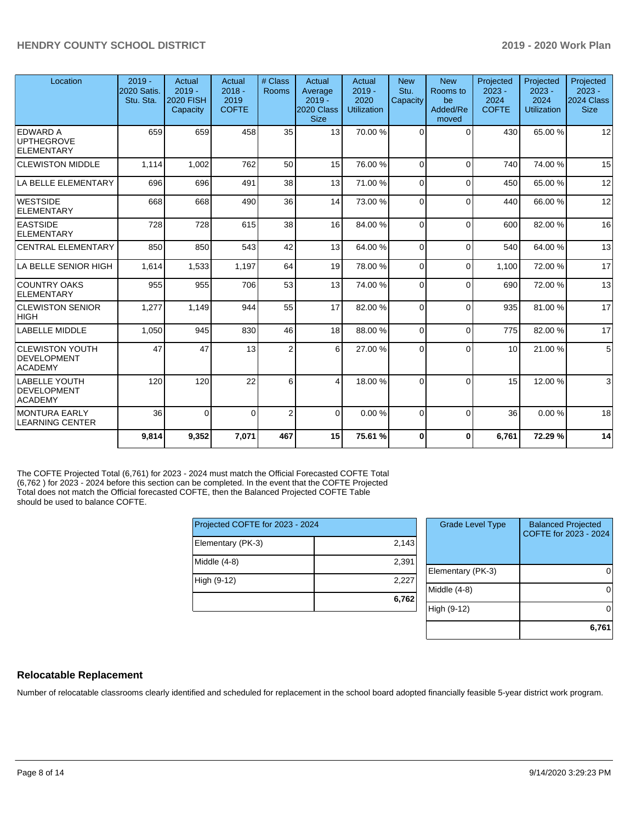| Location                                                  | $2019 -$<br>2020 Satis.<br>Stu. Sta. | Actual<br>$2019 -$<br><b>2020 FISH</b><br>Capacity | Actual<br>$2018 -$<br>2019<br><b>COFTE</b> | # Class<br><b>Rooms</b> | Actual<br>Average<br>$2019 -$<br>2020 Class<br><b>Size</b> | Actual<br>$2019 -$<br>2020<br><b>Utilization</b> | <b>New</b><br>Stu.<br>Capacity | <b>New</b><br>Rooms to<br>be<br>Added/Re<br>moved | Projected<br>$2023 -$<br>2024<br><b>COFTE</b> | Projected<br>$2023 -$<br>2024<br><b>Utilization</b> | Projected<br>$2023 -$<br>2024 Class  <br><b>Size</b> |
|-----------------------------------------------------------|--------------------------------------|----------------------------------------------------|--------------------------------------------|-------------------------|------------------------------------------------------------|--------------------------------------------------|--------------------------------|---------------------------------------------------|-----------------------------------------------|-----------------------------------------------------|------------------------------------------------------|
| <b>EDWARD A</b><br><b>UPTHEGROVE</b><br><b>ELEMENTARY</b> | 659                                  | 659                                                | 458                                        | 35                      | 13 <sup>1</sup>                                            | 70.00%                                           | $\Omega$                       | $\Omega$                                          | 430                                           | 65.00 %                                             | 12                                                   |
| <b>CLEWISTON MIDDLE</b>                                   | 1.114                                | 1,002                                              | 762                                        | 50                      | 15                                                         | 76.00 %                                          | $\Omega$                       | $\Omega$                                          | 740                                           | 74.00%                                              | 15                                                   |
| LA BELLE ELEMENTARY                                       | 696                                  | 696                                                | 491                                        | 38                      | 13                                                         | 71.00 %                                          | $\Omega$                       | $\Omega$                                          | 450                                           | 65.00 %                                             | 12                                                   |
| <b>WESTSIDE</b><br>ELEMENTARY                             | 668                                  | 668                                                | 490                                        | 36                      | 14                                                         | 73.00 %                                          | $\Omega$                       | $\Omega$                                          | 440                                           | 66.00 %                                             | 12                                                   |
| <b>EASTSIDE</b><br>ELEMENTARY                             | 728                                  | 728                                                | 615                                        | 38                      | 16                                                         | 84.00%                                           | $\Omega$                       | $\Omega$                                          | 600                                           | 82.00 %                                             | 16                                                   |
| <b>CENTRAL ELEMENTARY</b>                                 | 850                                  | 850                                                | 543                                        | 42                      | 13                                                         | 64.00%                                           | $\Omega$                       | $\Omega$                                          | 540                                           | 64.00%                                              | 13                                                   |
| LA BELLE SENIOR HIGH                                      | 1,614                                | 1,533                                              | 1,197                                      | 64                      | 19                                                         | 78.00 %                                          | $\Omega$                       | $\Omega$                                          | 1,100                                         | 72.00 %                                             | 17                                                   |
| <b>COUNTRY OAKS</b><br>ELEMENTARY                         | 955                                  | 955                                                | 706                                        | 53                      | 13                                                         | 74.00 %                                          | $\Omega$                       | $\Omega$                                          | 690                                           | 72.00 %                                             | 13                                                   |
| <b>CLEWISTON SENIOR</b><br> HIGH                          | 1,277                                | 1,149                                              | 944                                        | 55                      | 17                                                         | 82.00 %                                          | $\Omega$                       | $\Omega$                                          | 935                                           | 81.00%                                              | 17                                                   |
| LABELLE MIDDLE                                            | 1.050                                | 945                                                | 830                                        | 46                      | 18                                                         | 88.00 %                                          | $\Omega$                       | $\Omega$                                          | 775                                           | 82.00 %                                             | 17                                                   |
| <b>CLEWISTON YOUTH</b><br>DEVELOPMENT<br><b>ACADEMY</b>   | 47                                   | 47                                                 | 13                                         | $\overline{2}$          | 6                                                          | 27.00 %                                          | $\Omega$                       | $\Omega$                                          | 10                                            | 21.00%                                              | $5\overline{)}$                                      |
| LABELLE YOUTH<br>DEVELOPMENT<br><b>ACADEMY</b>            | 120                                  | 120                                                | 22                                         | 6                       | 4                                                          | 18.00 %                                          | $\Omega$                       | $\Omega$                                          | 15                                            | 12.00 %                                             | $\mathbf{3}$                                         |
| MONTURA EARLY<br><b>LEARNING CENTER</b>                   | 36                                   | $\Omega$                                           | $\Omega$                                   | $\overline{2}$          | $\Omega$                                                   | 0.00%                                            | $\Omega$                       | $\Omega$                                          | 36                                            | 0.00%                                               | 18                                                   |
|                                                           | 9,814                                | 9,352                                              | 7,071                                      | 467                     | 15                                                         | 75.61 %                                          | $\Omega$                       | $\Omega$                                          | 6,761                                         | 72.29 %                                             | 14                                                   |

The COFTE Projected Total (6,761) for 2023 - 2024 must match the Official Forecasted COFTE Total (6,762 ) for 2023 - 2024 before this section can be completed. In the event that the COFTE Projected Total does not match the Official forecasted COFTE, then the Balanced Projected COFTE Table should be used to balance COFTE.

| Projected COFTE for 2023 - 2024 |       | Grade Ley     |
|---------------------------------|-------|---------------|
| Elementary (PK-3)               | 2,143 |               |
| Middle (4-8)                    | 2,391 | Elementary (I |
| High (9-12)                     | 2,227 | Middle (4-8)  |
|                                 | 6,762 | High (9-12)   |

| <b>Grade Level Type</b> | <b>Balanced Projected</b><br>COFTE for 2023 - 2024 |
|-------------------------|----------------------------------------------------|
| Elementary (PK-3)       |                                                    |
| Middle $(4-8)$          |                                                    |
| High (9-12)             |                                                    |
|                         | 6,761                                              |

### **Relocatable Replacement**

Number of relocatable classrooms clearly identified and scheduled for replacement in the school board adopted financially feasible 5-year district work program.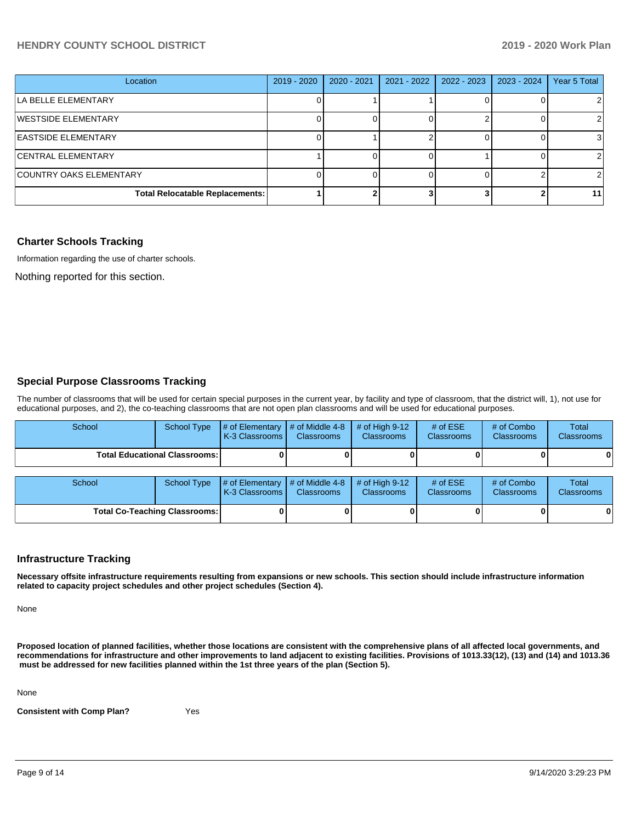### **HENDRY COUNTY SCHOOL DISTRICT 2019 - 2020 Work Plan**

| Location                               | 2019 - 2020 | 2020 - 2021 | 2021 - 2022 | 2022 - 2023 | 2023 - 2024 | Year 5 Total |
|----------------------------------------|-------------|-------------|-------------|-------------|-------------|--------------|
| LA BELLE ELEMENTARY                    |             |             |             |             |             |              |
| WESTSIDE ELEMENTARY                    |             |             |             |             |             |              |
| EASTSIDE ELEMENTARY                    |             |             |             |             |             |              |
| <b>CENTRAL ELEMENTARY</b>              |             |             |             |             |             |              |
| COUNTRY OAKS ELEMENTARY                |             |             |             |             |             |              |
| <b>Total Relocatable Replacements:</b> |             |             |             |             |             | 11           |

#### **Charter Schools Tracking**

Information regarding the use of charter schools.

Nothing reported for this section.

#### **Special Purpose Classrooms Tracking**

The number of classrooms that will be used for certain special purposes in the current year, by facility and type of classroom, that the district will, 1), not use for educational purposes, and 2), the co-teaching classrooms that are not open plan classrooms and will be used for educational purposes.

| School                               | <b>School Type</b> | # of Elementary<br>K-3 Classrooms | $\#$ of Middle 4-8<br><b>Classrooms</b> | # of High $9-12$<br><b>Classrooms</b> | # of $ESE$<br><b>Classrooms</b> | # of Combo<br><b>Classrooms</b> | Total<br><b>Classrooms</b> |
|--------------------------------------|--------------------|-----------------------------------|-----------------------------------------|---------------------------------------|---------------------------------|---------------------------------|----------------------------|
| <b>Total Educational Classrooms:</b> |                    |                                   |                                         |                                       |                                 |                                 | 0                          |
| School                               | <b>School Type</b> | # of Elementary<br>K-3 Classrooms | $\#$ of Middle 4-8<br><b>Classrooms</b> | # of High $9-12$<br><b>Classrooms</b> | # of $ESE$<br>Classrooms        | # of Combo<br><b>Classrooms</b> | Total<br><b>Classrooms</b> |
| <b>Total Co-Teaching Classrooms:</b> |                    |                                   |                                         |                                       |                                 | $\mathbf{0}$                    |                            |

#### **Infrastructure Tracking**

**Necessary offsite infrastructure requirements resulting from expansions or new schools. This section should include infrastructure information related to capacity project schedules and other project schedules (Section 4).** 

None

**Proposed location of planned facilities, whether those locations are consistent with the comprehensive plans of all affected local governments, and recommendations for infrastructure and other improvements to land adjacent to existing facilities. Provisions of 1013.33(12), (13) and (14) and 1013.36 must be addressed for new facilities planned within the 1st three years of the plan (Section 5).** 

None

**Consistent with Comp Plan?** Yes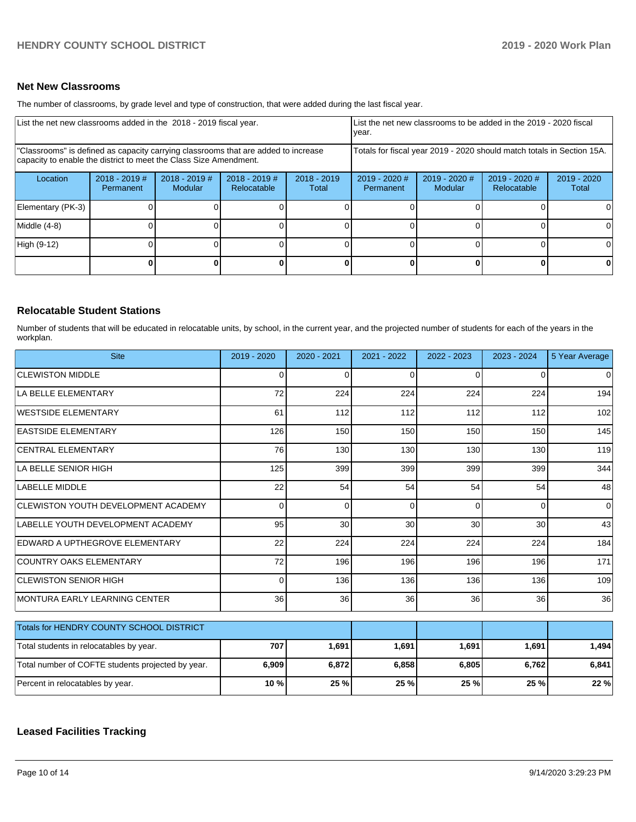## **Net New Classrooms**

The number of classrooms, by grade level and type of construction, that were added during the last fiscal year.

| List the net new classrooms added in the 2018 - 2019 fiscal year.                                                                                       |                              |                            |                                |                                                                        | List the net new classrooms to be added in the 2019 - 2020 fiscal<br>vear. |                            |                                |                      |
|---------------------------------------------------------------------------------------------------------------------------------------------------------|------------------------------|----------------------------|--------------------------------|------------------------------------------------------------------------|----------------------------------------------------------------------------|----------------------------|--------------------------------|----------------------|
| "Classrooms" is defined as capacity carrying classrooms that are added to increase<br>capacity to enable the district to meet the Class Size Amendment. |                              |                            |                                | Totals for fiscal year 2019 - 2020 should match totals in Section 15A. |                                                                            |                            |                                |                      |
| Location                                                                                                                                                | $2018 - 2019$ #<br>Permanent | $2018 - 2019$ #<br>Modular | $2018 - 2019$ #<br>Relocatable | $2018 - 2019$<br>Total                                                 | $2019 - 2020$ #<br>Permanent                                               | $2019 - 2020$ #<br>Modular | $2019 - 2020$ #<br>Relocatable | 2019 - 2020<br>Total |
| Elementary (PK-3)                                                                                                                                       |                              |                            |                                |                                                                        |                                                                            |                            |                                | $\Omega$             |
| Middle (4-8)                                                                                                                                            |                              |                            |                                |                                                                        |                                                                            |                            |                                | $\Omega$             |
| High (9-12)                                                                                                                                             |                              |                            |                                |                                                                        |                                                                            |                            |                                | 0                    |
|                                                                                                                                                         |                              |                            |                                | ΩI                                                                     |                                                                            |                            |                                | 0                    |

#### **Relocatable Student Stations**

Number of students that will be educated in relocatable units, by school, in the current year, and the projected number of students for each of the years in the workplan.

| <b>Site</b>                                       | 2019 - 2020     | $2020 - 2021$ | 2021 - 2022 | 2022 - 2023 | 2023 - 2024 | 5 Year Average |
|---------------------------------------------------|-----------------|---------------|-------------|-------------|-------------|----------------|
| <b>CLEWISTON MIDDLE</b>                           | $\Omega$        | $\Omega$      | 0           | $\Omega$    | $\Omega$    | $\Omega$       |
| LA BELLE ELEMENTARY                               | 72              | 224           | 224         | 224         | 224         | 194            |
| WESTSIDE ELEMENTARY                               | 61              | 112           | 112         | 112         | 112         | 102            |
| <b>EASTSIDE ELEMENTARY</b>                        | 126             | 150           | 150         | 150         | 150         | 145            |
| <b>CENTRAL ELEMENTARY</b>                         | 76              | 130           | 130         | 130         | 130         | 119            |
| LA BELLE SENIOR HIGH                              | 125             | 399           | 399         | 399         | 399         | 344            |
| LABELLE MIDDLE                                    | 22              | 54            | 54          | 54          | 54          | 48             |
| <b>CLEWISTON YOUTH DEVELOPMENT ACADEMY</b>        | 0               | $\Omega$      | 0           | $\Omega$    | 0           | $\mathbf 0$    |
| LABELLE YOUTH DEVELOPMENT ACADEMY                 | 95              | 30            | 30          | 30          | 30          | 43             |
| IEDWARD A UPTHEGROVE ELEMENTARY                   | 22              | 224           | 224         | 224         | 224         | 184            |
| <b>COUNTRY OAKS ELEMENTARY</b>                    | 72              | 196           | 196         | 196         | 196         | 171            |
| <b>CLEWISTON SENIOR HIGH</b>                      | $\Omega$        | 136           | 136         | 136         | 136         | 109            |
| MONTURA EARLY LEARNING CENTER                     | 36 <sup>1</sup> | 36            | 36          | 36          | 36          | 36             |
| Totals for HENDRY COUNTY SCHOOL DISTRICT          |                 |               |             |             |             |                |
|                                                   |                 |               |             |             |             |                |
| Total students in relocatables by year.           | 707             | 1,691         | 1,691       | 1,691       | 1,691       | 1,494          |
| Total number of COFTE students projected by year. | 6,909           | 6,872         | 6,858       | 6,805       | 6,762       | 6,841          |
| Percent in relocatables by year.                  | 10 %            | 25 %          | 25 %        | 25 %        | 25 %        | 22 %           |

# **Leased Facilities Tracking**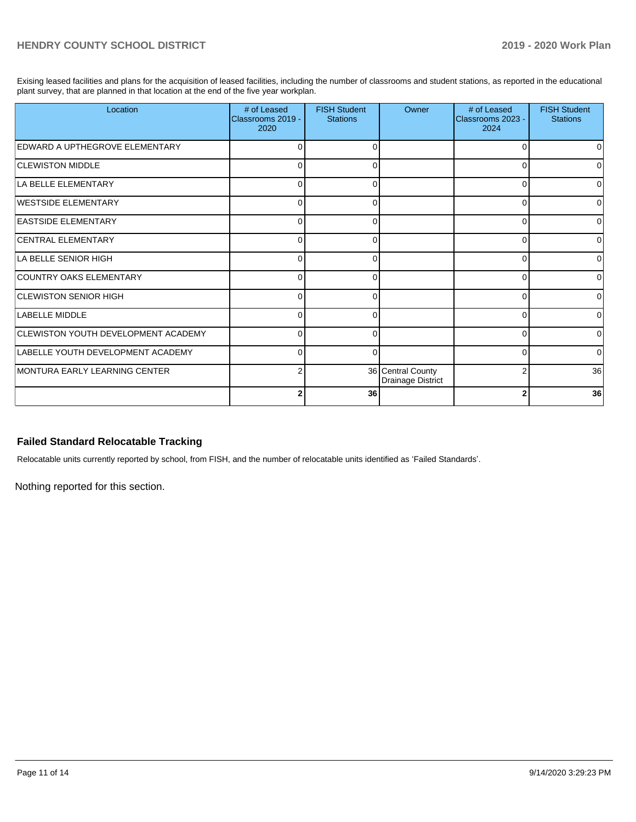Exising leased facilities and plans for the acquisition of leased facilities, including the number of classrooms and student stations, as reported in the educational plant survey, that are planned in that location at the end of the five year workplan.

| Location                                   | # of Leased<br>Classrooms 2019 -<br>2020 | <b>FISH Student</b><br><b>Stations</b> | Owner                                         | # of Leased<br>Classrooms 2023 -<br>2024 | <b>FISH Student</b><br><b>Stations</b> |
|--------------------------------------------|------------------------------------------|----------------------------------------|-----------------------------------------------|------------------------------------------|----------------------------------------|
| <b>EDWARD A UPTHEGROVE ELEMENTARY</b>      |                                          |                                        |                                               |                                          | O                                      |
| <b>CLEWISTON MIDDLE</b>                    | U                                        | ∩                                      |                                               | U                                        | 0                                      |
| LA BELLE ELEMENTARY                        | $\Omega$                                 | 0                                      |                                               | n                                        | $\Omega$                               |
| WESTSIDE ELEMENTARY                        | U                                        | ∩                                      |                                               | U                                        | 0                                      |
| <b>EASTSIDE ELEMENTARY</b>                 | 0                                        | $\Omega$                               |                                               | 0                                        | $\overline{0}$                         |
| <b>CENTRAL ELEMENTARY</b>                  | $\Omega$                                 | ∩                                      |                                               | ∩                                        | 0                                      |
| LA BELLE SENIOR HIGH                       | $\Omega$                                 | ∩                                      |                                               | U                                        | $\Omega$                               |
| COUNTRY OAKS ELEMENTARY                    | ſ                                        |                                        |                                               |                                          | 0                                      |
| <b>CLEWISTON SENIOR HIGH</b>               | O                                        | 0                                      |                                               | 0                                        | $\Omega$                               |
| LABELLE MIDDLE                             | U                                        | $\Omega$                               |                                               | ∩                                        | $\Omega$                               |
| <b>CLEWISTON YOUTH DEVELOPMENT ACADEMY</b> | n                                        |                                        |                                               |                                          | 0                                      |
| LABELLE YOUTH DEVELOPMENT ACADEMY          | 0                                        | $\Omega$                               |                                               | $\Omega$                                 | $\overline{0}$                         |
| MONTURA EARLY LEARNING CENTER              | 2                                        |                                        | 36 Central County<br><b>Drainage District</b> |                                          | 36                                     |
|                                            | 2                                        | 36                                     |                                               |                                          | 36                                     |

## **Failed Standard Relocatable Tracking**

Relocatable units currently reported by school, from FISH, and the number of relocatable units identified as 'Failed Standards'.

Nothing reported for this section.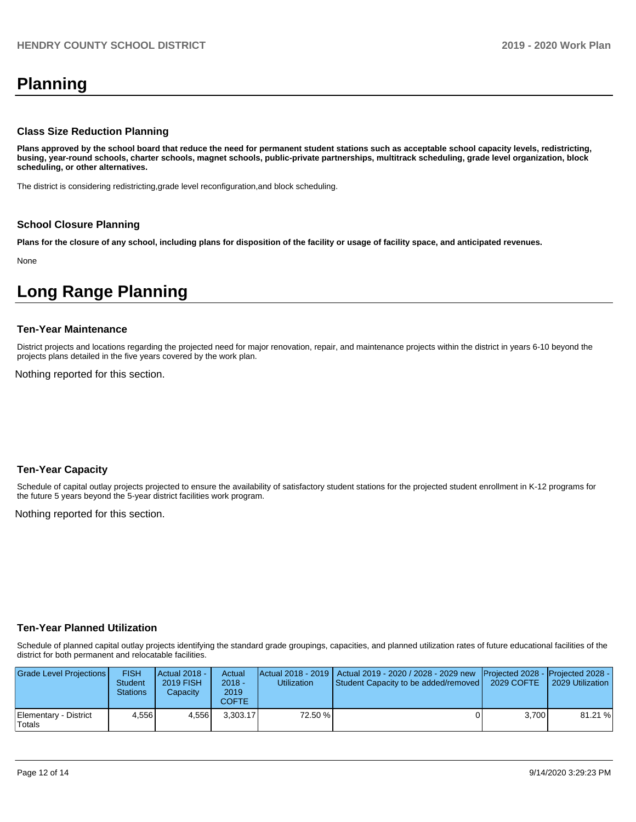# **Planning**

#### **Class Size Reduction Planning**

**Plans approved by the school board that reduce the need for permanent student stations such as acceptable school capacity levels, redistricting, busing, year-round schools, charter schools, magnet schools, public-private partnerships, multitrack scheduling, grade level organization, block scheduling, or other alternatives.**

The district is considering redistricting,grade level reconfiguration,and block scheduling.

#### **School Closure Planning**

**Plans for the closure of any school, including plans for disposition of the facility or usage of facility space, and anticipated revenues.** 

None

# **Long Range Planning**

#### **Ten-Year Maintenance**

District projects and locations regarding the projected need for major renovation, repair, and maintenance projects within the district in years 6-10 beyond the projects plans detailed in the five years covered by the work plan.

Nothing reported for this section.

#### **Ten-Year Capacity**

Schedule of capital outlay projects projected to ensure the availability of satisfactory student stations for the projected student enrollment in K-12 programs for the future 5 years beyond the 5-year district facilities work program.

Nothing reported for this section.

#### **Ten-Year Planned Utilization**

Schedule of planned capital outlay projects identifying the standard grade groupings, capacities, and planned utilization rates of future educational facilities of the district for both permanent and relocatable facilities.

| Grade Level Projections         | <b>FISH</b><br><b>Student</b><br><b>Stations</b> | <b>Actual 2018 -</b><br>2019 FISH<br>Capacity | Actual<br>2018 -<br>2019<br>COFTE. | <b>Utilization</b> | Actual 2018 - 2019   Actual 2019 - 2020 / 2028 - 2029 new Projected 2028 - Projected 2028 -<br>Student Capacity to be added/removed | 2029 COFTE | 2029 Utilization |
|---------------------------------|--------------------------------------------------|-----------------------------------------------|------------------------------------|--------------------|-------------------------------------------------------------------------------------------------------------------------------------|------------|------------------|
| Elementary - District<br>Totals | 4.556                                            | 4.556                                         | 3.303.17                           | 72.50 %            |                                                                                                                                     | 3.700      | 81.21 %          |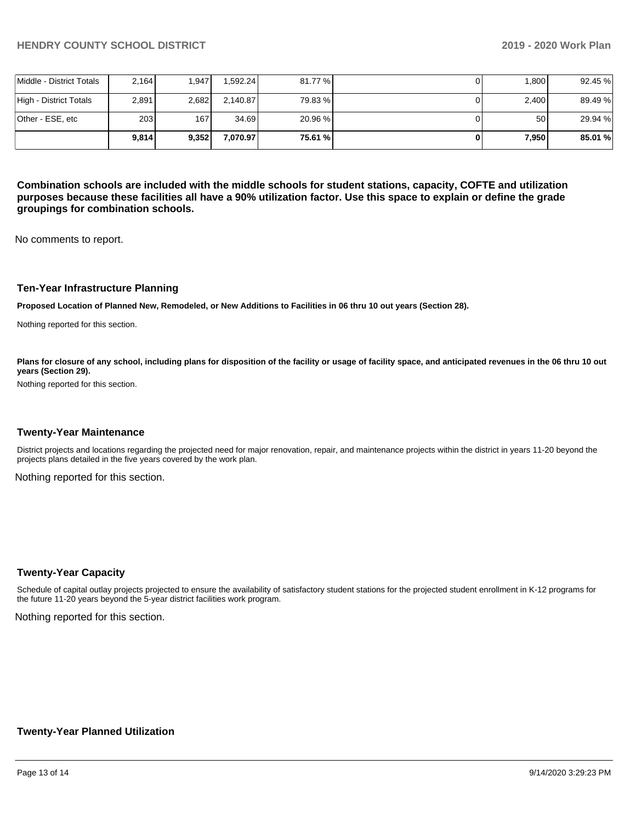|                          | 9.814            | 9.352 | 7.070.97  | 75.61 % | 7,950 | 85.01 % |
|--------------------------|------------------|-------|-----------|---------|-------|---------|
| lOther - ESE. etc        | 203 <sub>1</sub> | 167   | 34.69     | 20.96 % | 50    | 29.94 % |
| High - District Totals   | 2.891            | 2,682 | 2.140.87  | 79.83 % | 2.400 | 89.49%  |
| Middle - District Totals | 2.164            | 1.947 | 1.592.241 | 81.77 % | 1.800 | 92.45 % |

**Combination schools are included with the middle schools for student stations, capacity, COFTE and utilization purposes because these facilities all have a 90% utilization factor. Use this space to explain or define the grade groupings for combination schools.** 

No comments to report.

#### **Ten-Year Infrastructure Planning**

**Proposed Location of Planned New, Remodeled, or New Additions to Facilities in 06 thru 10 out years (Section 28).**

Nothing reported for this section.

Plans for closure of any school, including plans for disposition of the facility or usage of facility space, and anticipated revenues in the 06 thru 10 out **years (Section 29).**

Nothing reported for this section.

#### **Twenty-Year Maintenance**

District projects and locations regarding the projected need for major renovation, repair, and maintenance projects within the district in years 11-20 beyond the projects plans detailed in the five years covered by the work plan.

Nothing reported for this section.

#### **Twenty-Year Capacity**

Schedule of capital outlay projects projected to ensure the availability of satisfactory student stations for the projected student enrollment in K-12 programs for the future 11-20 years beyond the 5-year district facilities work program.

Nothing reported for this section.

#### **Twenty-Year Planned Utilization**